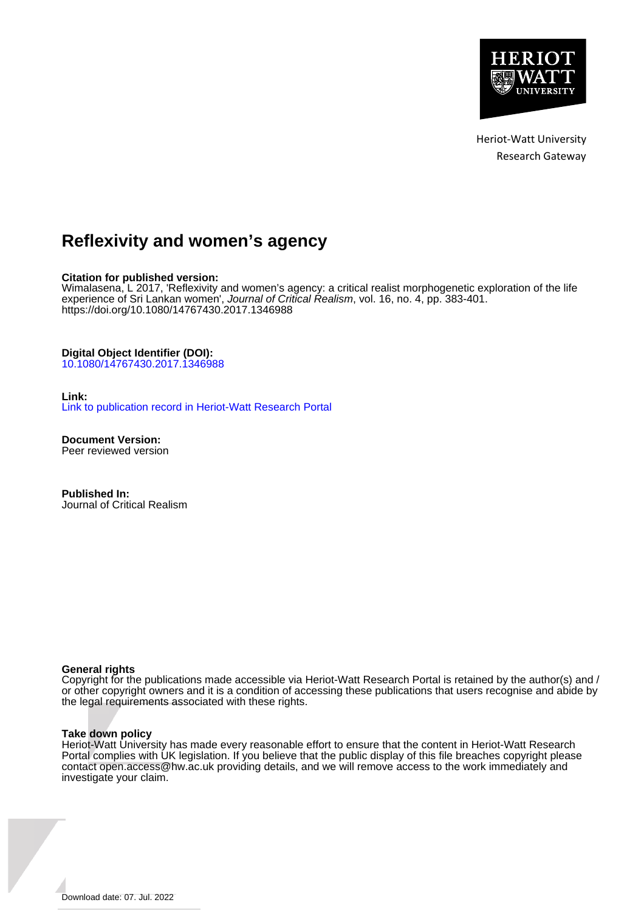

Heriot-Watt University Research Gateway

# **Reflexivity and women's agency**

#### **Citation for published version:**

Wimalasena, L 2017, 'Reflexivity and women's agency: a critical realist morphogenetic exploration of the life experience of Sri Lankan women', Journal of Critical Realism, vol. 16, no. 4, pp. 383-401. <https://doi.org/10.1080/14767430.2017.1346988>

#### **Digital Object Identifier (DOI):**

[10.1080/14767430.2017.1346988](https://doi.org/10.1080/14767430.2017.1346988)

#### **Link:**

[Link to publication record in Heriot-Watt Research Portal](https://researchportal.hw.ac.uk/en/publications/bd639bfd-de48-4fcb-b71a-b43427b6a493)

**Document Version:** Peer reviewed version

**Published In:** Journal of Critical Realism

#### **General rights**

Copyright for the publications made accessible via Heriot-Watt Research Portal is retained by the author(s) and / or other copyright owners and it is a condition of accessing these publications that users recognise and abide by the legal requirements associated with these rights.

#### **Take down policy**

Heriot-Watt University has made every reasonable effort to ensure that the content in Heriot-Watt Research Portal complies with UK legislation. If you believe that the public display of this file breaches copyright please contact open.access@hw.ac.uk providing details, and we will remove access to the work immediately and investigate your claim.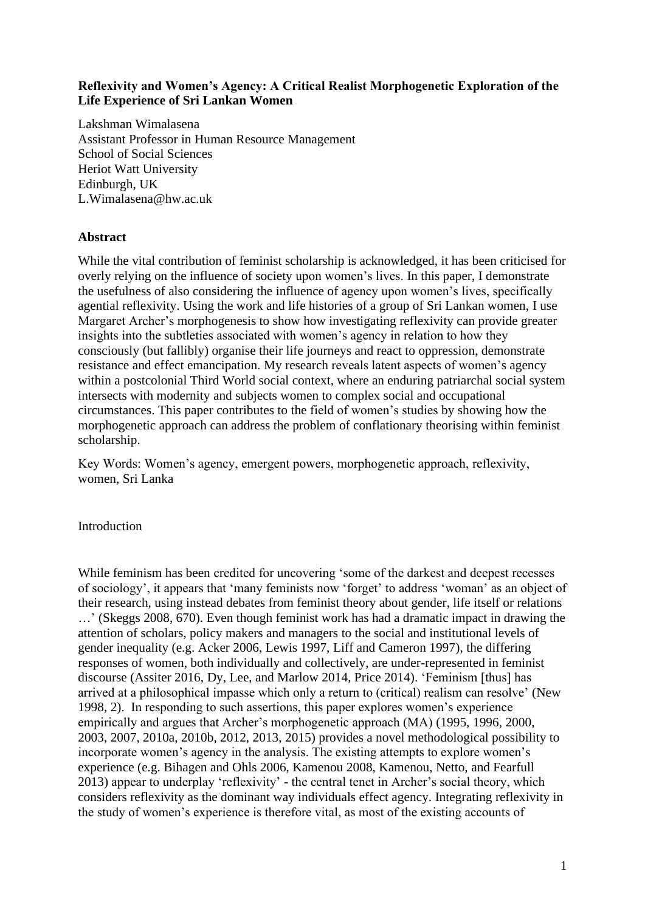# **Reflexivity and Women's Agency: A Critical Realist Morphogenetic Exploration of the Life Experience of Sri Lankan Women**

Lakshman Wimalasena Assistant Professor in Human Resource Management School of Social Sciences Heriot Watt University Edinburgh, UK L.Wimalasena@hw.ac.uk

# **Abstract**

While the vital contribution of feminist scholarship is acknowledged, it has been criticised for overly relying on the influence of society upon women's lives. In this paper, I demonstrate the usefulness of also considering the influence of agency upon women's lives, specifically agential reflexivity. Using the work and life histories of a group of Sri Lankan women, I use Margaret Archer's morphogenesis to show how investigating reflexivity can provide greater insights into the subtleties associated with women's agency in relation to how they consciously (but fallibly) organise their life journeys and react to oppression, demonstrate resistance and effect emancipation. My research reveals latent aspects of women's agency within a postcolonial Third World social context, where an enduring patriarchal social system intersects with modernity and subjects women to complex social and occupational circumstances. This paper contributes to the field of women's studies by showing how the morphogenetic approach can address the problem of conflationary theorising within feminist scholarship.

Key Words: Women's agency, emergent powers, morphogenetic approach, reflexivity, women, Sri Lanka

## Introduction

While feminism has been credited for uncovering 'some of the darkest and deepest recesses of sociology', it appears that 'many feminists now 'forget' to address 'woman' as an object of their research, using instead debates from feminist theory about gender, life itself or relations …' (Skeggs 2008, 670). Even though feminist work has had a dramatic impact in drawing the attention of scholars, policy makers and managers to the social and institutional levels of gender inequality (e.g. Acker 2006, Lewis 1997, Liff and Cameron 1997), the differing responses of women, both individually and collectively, are under-represented in feminist discourse (Assiter 2016, Dy, Lee, and Marlow 2014, Price 2014). 'Feminism [thus] has arrived at a philosophical impasse which only a return to (critical) realism can resolve' (New 1998, 2). In responding to such assertions, this paper explores women's experience empirically and argues that Archer's morphogenetic approach (MA) (1995, 1996, 2000, 2003, 2007, 2010a, 2010b, 2012, 2013, 2015) provides a novel methodological possibility to incorporate women's agency in the analysis. The existing attempts to explore women's experience (e.g. Bihagen and Ohls 2006, Kamenou 2008, Kamenou, Netto, and Fearfull 2013) appear to underplay 'reflexivity' - the central tenet in Archer's social theory, which considers reflexivity as the dominant way individuals effect agency. Integrating reflexivity in the study of women's experience is therefore vital, as most of the existing accounts of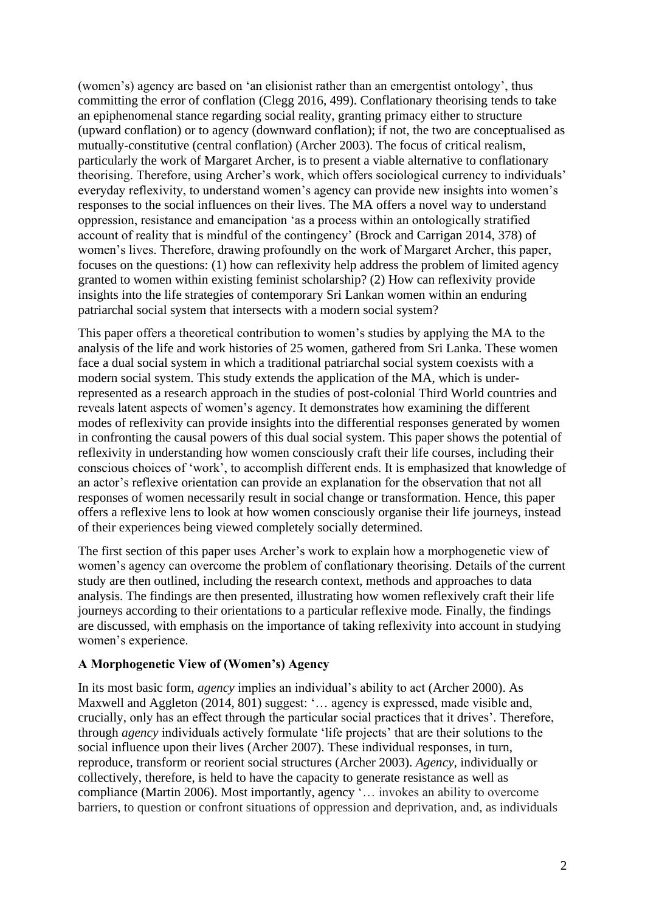(women's) agency are based on 'an elisionist rather than an emergentist ontology', thus committing the error of conflation (Clegg 2016, 499). Conflationary theorising tends to take an epiphenomenal stance regarding social reality, granting primacy either to structure (upward conflation) or to agency (downward conflation); if not, the two are conceptualised as mutually-constitutive (central conflation) (Archer 2003). The focus of critical realism, particularly the work of Margaret Archer, is to present a viable alternative to conflationary theorising. Therefore, using Archer's work, which offers sociological currency to individuals' everyday reflexivity, to understand women's agency can provide new insights into women's responses to the social influences on their lives. The MA offers a novel way to understand oppression, resistance and emancipation 'as a process within an ontologically stratified account of reality that is mindful of the contingency' (Brock and Carrigan 2014, 378) of women's lives. Therefore, drawing profoundly on the work of Margaret Archer, this paper, focuses on the questions: (1) how can reflexivity help address the problem of limited agency granted to women within existing feminist scholarship? (2) How can reflexivity provide insights into the life strategies of contemporary Sri Lankan women within an enduring patriarchal social system that intersects with a modern social system?

This paper offers a theoretical contribution to women's studies by applying the MA to the analysis of the life and work histories of 25 women, gathered from Sri Lanka. These women face a dual social system in which a traditional patriarchal social system coexists with a modern social system. This study extends the application of the MA, which is underrepresented as a research approach in the studies of post-colonial Third World countries and reveals latent aspects of women's agency. It demonstrates how examining the different modes of reflexivity can provide insights into the differential responses generated by women in confronting the causal powers of this dual social system. This paper shows the potential of reflexivity in understanding how women consciously craft their life courses, including their conscious choices of 'work', to accomplish different ends. It is emphasized that knowledge of an actor's reflexive orientation can provide an explanation for the observation that not all responses of women necessarily result in social change or transformation. Hence, this paper offers a reflexive lens to look at how women consciously organise their life journeys, instead of their experiences being viewed completely socially determined.

The first section of this paper uses Archer's work to explain how a morphogenetic view of women's agency can overcome the problem of conflationary theorising. Details of the current study are then outlined, including the research context, methods and approaches to data analysis. The findings are then presented, illustrating how women reflexively craft their life journeys according to their orientations to a particular reflexive mode*.* Finally, the findings are discussed, with emphasis on the importance of taking reflexivity into account in studying women's experience.

# **A Morphogenetic View of (Women's) Agency**

In its most basic form, *agency* implies an individual's ability to act (Archer 2000). As Maxwell and Aggleton (2014, 801) suggest: '… agency is expressed, made visible and, crucially, only has an effect through the particular social practices that it drives'. Therefore, through *agency* individuals actively formulate 'life projects' that are their solutions to the social influence upon their lives (Archer 2007). These individual responses, in turn, reproduce, transform or reorient social structures (Archer 2003). *Agency,* individually or collectively, therefore, is held to have the capacity to generate resistance as well as compliance (Martin 2006). Most importantly, agency '… invokes an ability to overcome barriers, to question or confront situations of oppression and deprivation, and, as individuals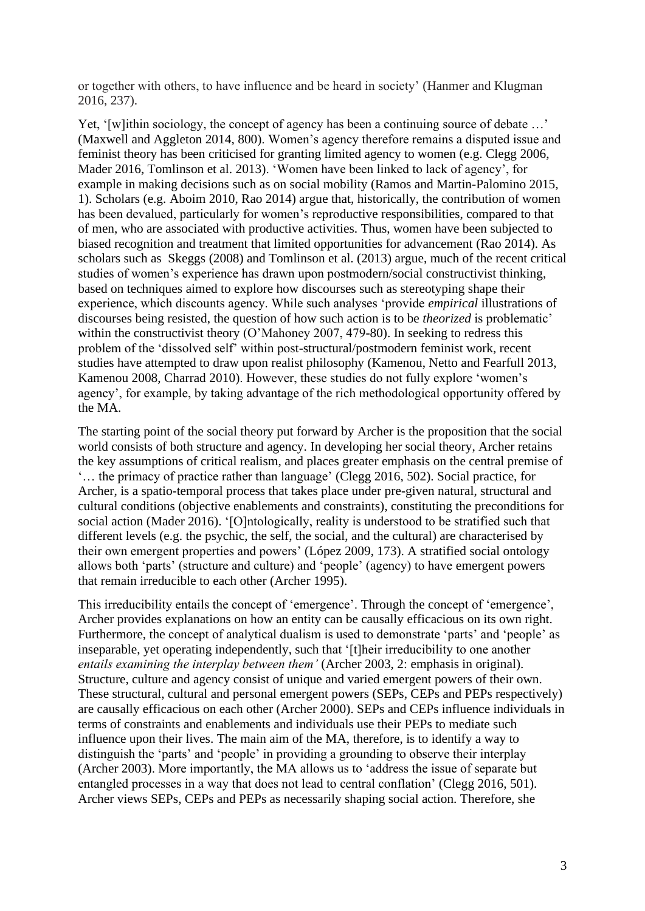or together with others, to have influence and be heard in society' (Hanmer and Klugman 2016, 237).

Yet, '[w]ithin sociology, the concept of agency has been a continuing source of debate ...' (Maxwell and Aggleton 2014, 800). Women's agency therefore remains a disputed issue and feminist theory has been criticised for granting limited agency to women (e.g. Clegg 2006, Mader 2016, Tomlinson et al. 2013). 'Women have been linked to lack of agency', for example in making decisions such as on social mobility (Ramos and Martin-Palomino 2015, 1). Scholars (e.g. Aboim 2010, Rao 2014) argue that, historically, the contribution of women has been devalued, particularly for women's reproductive responsibilities, compared to that of men, who are associated with productive activities. Thus, women have been subjected to biased recognition and treatment that limited opportunities for advancement (Rao 2014). As scholars such as Skeggs (2008) and Tomlinson et al. (2013) argue, much of the recent critical studies of women's experience has drawn upon postmodern/social constructivist thinking, based on techniques aimed to explore how discourses such as stereotyping shape their experience, which discounts agency. While such analyses 'provide *empirical* illustrations of discourses being resisted, the question of how such action is to be *theorized* is problematic' within the constructivist theory (O'Mahoney 2007, 479-80). In seeking to redress this problem of the 'dissolved self' within post-structural/postmodern feminist work, recent studies have attempted to draw upon realist philosophy (Kamenou, Netto and Fearfull 2013, Kamenou 2008, Charrad 2010). However, these studies do not fully explore 'women's agency', for example, by taking advantage of the rich methodological opportunity offered by the MA.

The starting point of the social theory put forward by Archer is the proposition that the social world consists of both structure and agency. In developing her social theory, Archer retains the key assumptions of critical realism, and places greater emphasis on the central premise of '… the primacy of practice rather than language' (Clegg 2016, 502). Social practice, for Archer, is a spatio-temporal process that takes place under pre-given natural, structural and cultural conditions (objective enablements and constraints), constituting the preconditions for social action (Mader 2016). '[O]ntologically, reality is understood to be stratified such that different levels (e.g. the psychic, the self, the social, and the cultural) are characterised by their own emergent properties and powers' (López 2009, 173). A stratified social ontology allows both 'parts' (structure and culture) and 'people' (agency) to have emergent powers that remain irreducible to each other (Archer 1995).

This irreducibility entails the concept of 'emergence'. Through the concept of 'emergence', Archer provides explanations on how an entity can be causally efficacious on its own right. Furthermore, the concept of analytical dualism is used to demonstrate 'parts' and 'people' as inseparable, yet operating independently, such that '[t]heir irreducibility to one another *entails examining the interplay between them'* (Archer 2003, 2: emphasis in original). Structure, culture and agency consist of unique and varied emergent powers of their own. These structural, cultural and personal emergent powers (SEPs, CEPs and PEPs respectively) are causally efficacious on each other (Archer 2000). SEPs and CEPs influence individuals in terms of constraints and enablements and individuals use their PEPs to mediate such influence upon their lives. The main aim of the MA, therefore, is to identify a way to distinguish the 'parts' and 'people' in providing a grounding to observe their interplay (Archer 2003). More importantly, the MA allows us to 'address the issue of separate but entangled processes in a way that does not lead to central conflation' (Clegg 2016, 501). Archer views SEPs, CEPs and PEPs as necessarily shaping social action. Therefore, she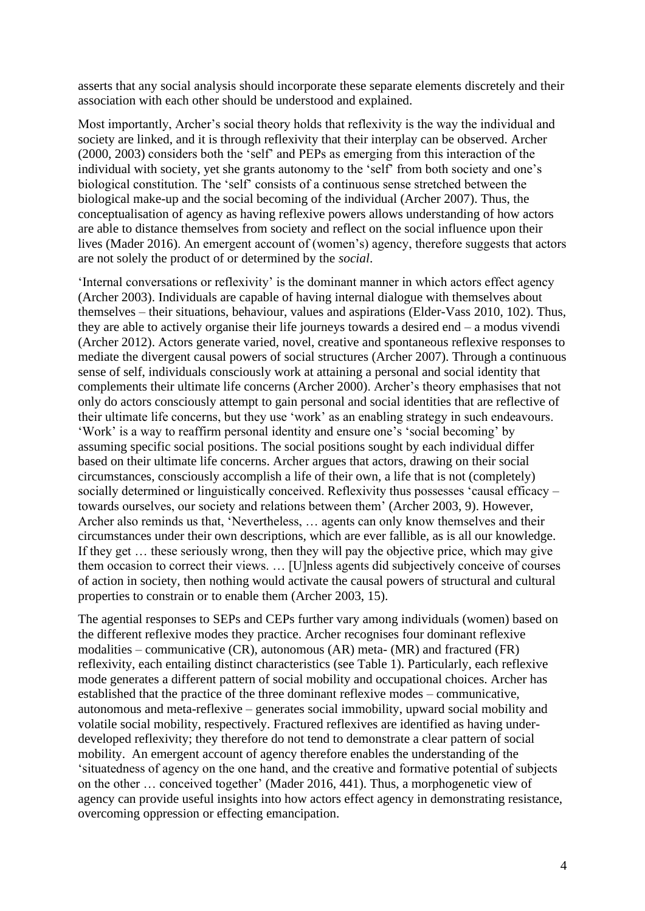asserts that any social analysis should incorporate these separate elements discretely and their association with each other should be understood and explained.

Most importantly, Archer's social theory holds that reflexivity is the way the individual and society are linked, and it is through reflexivity that their interplay can be observed. Archer (2000, 2003) considers both the 'self' and PEPs as emerging from this interaction of the individual with society, yet she grants autonomy to the 'self' from both society and one's biological constitution. The 'self' consists of a continuous sense stretched between the biological make-up and the social becoming of the individual (Archer 2007). Thus, the conceptualisation of agency as having reflexive powers allows understanding of how actors are able to distance themselves from society and reflect on the social influence upon their lives (Mader 2016). An emergent account of (women's) agency, therefore suggests that actors are not solely the product of or determined by the *social*.

'Internal conversations or reflexivity' is the dominant manner in which actors effect agency (Archer 2003). Individuals are capable of having internal dialogue with themselves about themselves – their situations, behaviour, values and aspirations (Elder-Vass 2010, 102). Thus, they are able to actively organise their life journeys towards a desired end – a modus vivendi (Archer 2012). Actors generate varied, novel, creative and spontaneous reflexive responses to mediate the divergent causal powers of social structures (Archer 2007). Through a continuous sense of self, individuals consciously work at attaining a personal and social identity that complements their ultimate life concerns (Archer 2000). Archer's theory emphasises that not only do actors consciously attempt to gain personal and social identities that are reflective of their ultimate life concerns, but they use 'work' as an enabling strategy in such endeavours. 'Work' is a way to reaffirm personal identity and ensure one's 'social becoming' by assuming specific social positions. The social positions sought by each individual differ based on their ultimate life concerns. Archer argues that actors, drawing on their social circumstances, consciously accomplish a life of their own, a life that is not (completely) socially determined or linguistically conceived. Reflexivity thus possesses 'causal efficacy – towards ourselves, our society and relations between them' (Archer 2003, 9). However, Archer also reminds us that, 'Nevertheless, … agents can only know themselves and their circumstances under their own descriptions, which are ever fallible, as is all our knowledge. If they get … these seriously wrong, then they will pay the objective price, which may give them occasion to correct their views. … [U]nless agents did subjectively conceive of courses of action in society, then nothing would activate the causal powers of structural and cultural properties to constrain or to enable them (Archer 2003, 15).

The agential responses to SEPs and CEPs further vary among individuals (women) based on the different reflexive modes they practice. Archer recognises four dominant reflexive modalities – communicative  $(CR)$ , autonomous  $(AR)$  meta-  $(MR)$  and fractured  $(FR)$ reflexivity, each entailing distinct characteristics (see Table 1). Particularly, each reflexive mode generates a different pattern of social mobility and occupational choices. Archer has established that the practice of the three dominant reflexive modes – communicative, autonomous and meta-reflexive – generates social immobility, upward social mobility and volatile social mobility, respectively. Fractured reflexives are identified as having underdeveloped reflexivity; they therefore do not tend to demonstrate a clear pattern of social mobility. An emergent account of agency therefore enables the understanding of the 'situatedness of agency on the one hand, and the creative and formative potential of subjects on the other … conceived together' (Mader 2016, 441). Thus, a morphogenetic view of agency can provide useful insights into how actors effect agency in demonstrating resistance, overcoming oppression or effecting emancipation.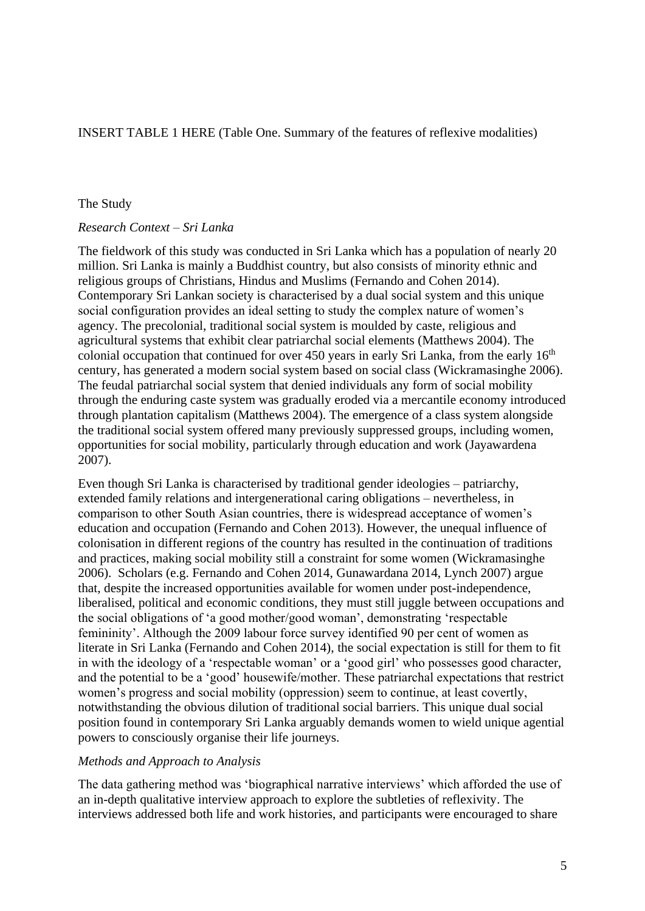# INSERT TABLE 1 HERE (Table One. Summary of the features of reflexive modalities)

#### The Study

#### *Research Context – Sri Lanka*

The fieldwork of this study was conducted in Sri Lanka which has a population of nearly 20 million. Sri Lanka is mainly a Buddhist country, but also consists of minority ethnic and religious groups of Christians, Hindus and Muslims (Fernando and Cohen 2014). Contemporary Sri Lankan society is characterised by a dual social system and this unique social configuration provides an ideal setting to study the complex nature of women's agency. The precolonial, traditional social system is moulded by caste, religious and agricultural systems that exhibit clear patriarchal social elements (Matthews 2004). The colonial occupation that continued for over 450 years in early Sri Lanka, from the early  $16<sup>th</sup>$ century, has generated a modern social system based on social class (Wickramasinghe 2006). The feudal patriarchal social system that denied individuals any form of social mobility through the enduring caste system was gradually eroded via a mercantile economy introduced through plantation capitalism (Matthews 2004). The emergence of a class system alongside the traditional social system offered many previously suppressed groups, including women, opportunities for social mobility, particularly through education and work (Jayawardena 2007).

Even though Sri Lanka is characterised by traditional gender ideologies – patriarchy, extended family relations and intergenerational caring obligations – nevertheless, in comparison to other South Asian countries, there is widespread acceptance of women's education and occupation (Fernando and Cohen 2013). However, the unequal influence of colonisation in different regions of the country has resulted in the continuation of traditions and practices, making social mobility still a constraint for some women (Wickramasinghe 2006). Scholars (e.g. Fernando and Cohen 2014, Gunawardana 2014, Lynch 2007) argue that, despite the increased opportunities available for women under post-independence, liberalised, political and economic conditions, they must still juggle between occupations and the social obligations of 'a good mother/good woman', demonstrating 'respectable femininity'. Although the 2009 labour force survey identified 90 per cent of women as literate in Sri Lanka (Fernando and Cohen 2014), the social expectation is still for them to fit in with the ideology of a 'respectable woman' or a 'good girl' who possesses good character, and the potential to be a 'good' housewife/mother. These patriarchal expectations that restrict women's progress and social mobility (oppression) seem to continue, at least covertly, notwithstanding the obvious dilution of traditional social barriers. This unique dual social position found in contemporary Sri Lanka arguably demands women to wield unique agential powers to consciously organise their life journeys.

## *Methods and Approach to Analysis*

The data gathering method was 'biographical narrative interviews' which afforded the use of an in-depth qualitative interview approach to explore the subtleties of reflexivity. The interviews addressed both life and work histories, and participants were encouraged to share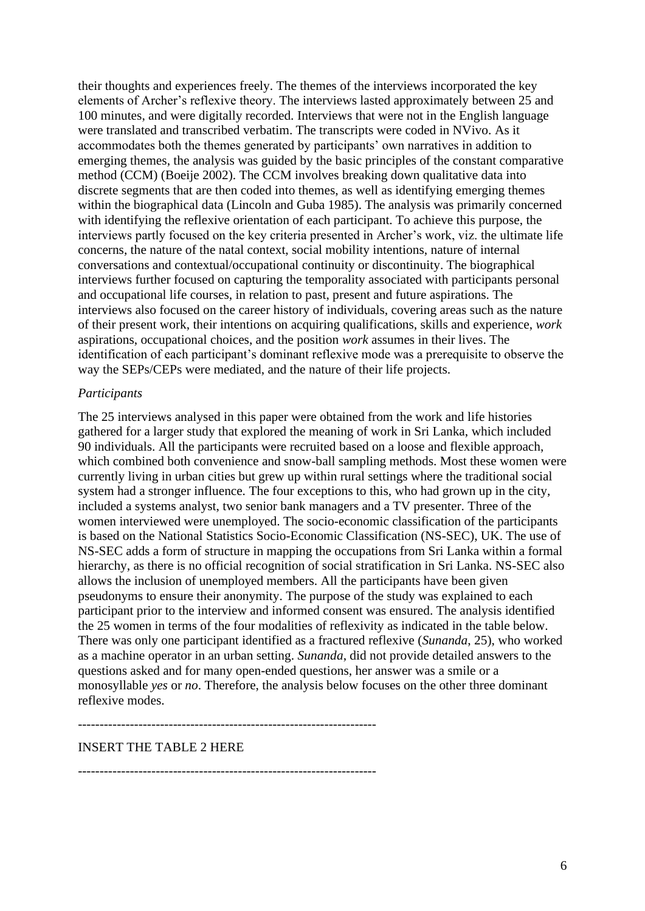their thoughts and experiences freely. The themes of the interviews incorporated the key elements of Archer's reflexive theory. The interviews lasted approximately between 25 and 100 minutes, and were digitally recorded. Interviews that were not in the English language were translated and transcribed verbatim. The transcripts were coded in NVivo. As it accommodates both the themes generated by participants' own narratives in addition to emerging themes, the analysis was guided by the basic principles of the constant comparative method (CCM) (Boeije 2002). The CCM involves breaking down qualitative data into discrete segments that are then coded into themes, as well as identifying emerging themes within the biographical data (Lincoln and Guba 1985). The analysis was primarily concerned with identifying the reflexive orientation of each participant. To achieve this purpose, the interviews partly focused on the key criteria presented in Archer's work, viz. the ultimate life concerns, the nature of the natal context, social mobility intentions, nature of internal conversations and contextual/occupational continuity or discontinuity. The biographical interviews further focused on capturing the temporality associated with participants personal and occupational life courses, in relation to past, present and future aspirations. The interviews also focused on the career history of individuals, covering areas such as the nature of their present work, their intentions on acquiring qualifications, skills and experience, *work* aspirations, occupational choices, and the position *work* assumes in their lives. The identification of each participant's dominant reflexive mode was a prerequisite to observe the way the SEPs/CEPs were mediated, and the nature of their life projects.

#### *Participants*

The 25 interviews analysed in this paper were obtained from the work and life histories gathered for a larger study that explored the meaning of work in Sri Lanka, which included 90 individuals. All the participants were recruited based on a loose and flexible approach, which combined both convenience and snow-ball sampling methods. Most these women were currently living in urban cities but grew up within rural settings where the traditional social system had a stronger influence. The four exceptions to this, who had grown up in the city, included a systems analyst, two senior bank managers and a TV presenter. Three of the women interviewed were unemployed. The socio-economic classification of the participants is based on the National Statistics Socio-Economic Classification (NS-SEC), UK. The use of NS-SEC adds a form of structure in mapping the occupations from Sri Lanka within a formal hierarchy, as there is no official recognition of social stratification in Sri Lanka. NS-SEC also allows the inclusion of unemployed members. All the participants have been given pseudonyms to ensure their anonymity. The purpose of the study was explained to each participant prior to the interview and informed consent was ensured. The analysis identified the 25 women in terms of the four modalities of reflexivity as indicated in the table below. There was only one participant identified as a fractured reflexive (*Sunanda*, 25), who worked as a machine operator in an urban setting. *Sunanda*, did not provide detailed answers to the questions asked and for many open-ended questions, her answer was a smile or a monosyllable *yes* or *no*. Therefore, the analysis below focuses on the other three dominant reflexive modes.

---------------------------------------------------------------------

# INSERT THE TABLE 2 HERE

---------------------------------------------------------------------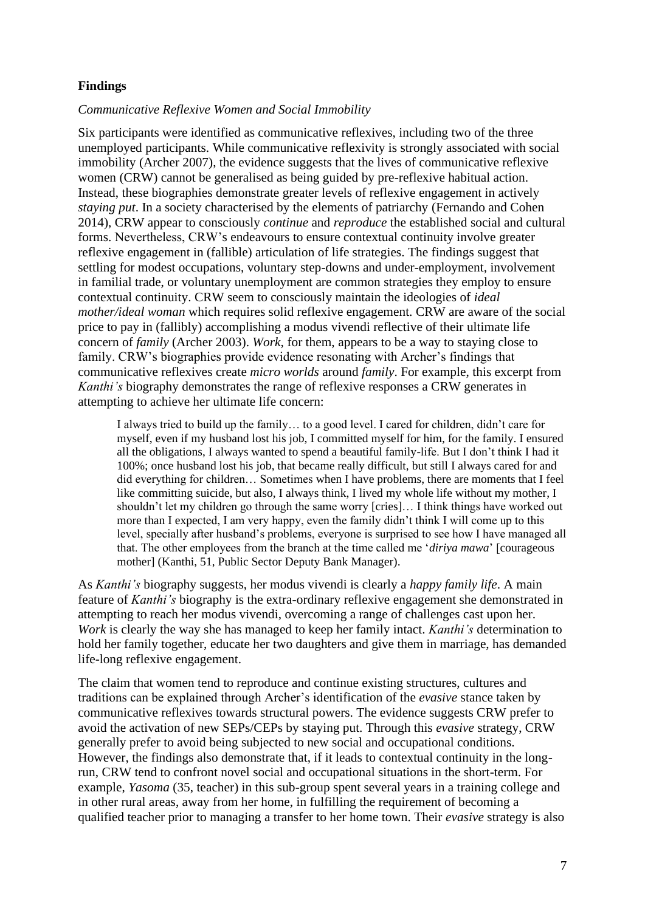# **Findings**

#### *Communicative Reflexive Women and Social Immobility*

Six participants were identified as communicative reflexives, including two of the three unemployed participants. While communicative reflexivity is strongly associated with social immobility (Archer 2007), the evidence suggests that the lives of communicative reflexive women (CRW) cannot be generalised as being guided by pre-reflexive habitual action. Instead, these biographies demonstrate greater levels of reflexive engagement in actively *staying put*. In a society characterised by the elements of patriarchy (Fernando and Cohen 2014), CRW appear to consciously *continue* and *reproduce* the established social and cultural forms. Nevertheless, CRW's endeavours to ensure contextual continuity involve greater reflexive engagement in (fallible) articulation of life strategies. The findings suggest that settling for modest occupations, voluntary step-downs and under-employment, involvement in familial trade, or voluntary unemployment are common strategies they employ to ensure contextual continuity. CRW seem to consciously maintain the ideologies of *ideal mother/ideal woman* which requires solid reflexive engagement. CRW are aware of the social price to pay in (fallibly) accomplishing a modus vivendi reflective of their ultimate life concern of *family* (Archer 2003). *Work,* for them, appears to be a way to staying close to family. CRW's biographies provide evidence resonating with Archer's findings that communicative reflexives create *micro worlds* around *family*. For example, this excerpt from *Kanthi's* biography demonstrates the range of reflexive responses a CRW generates in attempting to achieve her ultimate life concern:

I always tried to build up the family… to a good level. I cared for children, didn't care for myself, even if my husband lost his job, I committed myself for him, for the family. I ensured all the obligations, I always wanted to spend a beautiful family-life. But I don't think I had it 100%; once husband lost his job, that became really difficult, but still I always cared for and did everything for children… Sometimes when I have problems, there are moments that I feel like committing suicide, but also, I always think, I lived my whole life without my mother, I shouldn't let my children go through the same worry [cries]… I think things have worked out more than I expected, I am very happy, even the family didn't think I will come up to this level, specially after husband's problems, everyone is surprised to see how I have managed all that. The other employees from the branch at the time called me '*diriya mawa*' [courageous mother] (Kanthi, 51, Public Sector Deputy Bank Manager).

As *Kanthi's* biography suggests, her modus vivendi is clearly a *happy family life*. A main feature of *Kanthi's* biography is the extra-ordinary reflexive engagement she demonstrated in attempting to reach her modus vivendi, overcoming a range of challenges cast upon her. *Work* is clearly the way she has managed to keep her family intact. *Kanthi's* determination to hold her family together, educate her two daughters and give them in marriage, has demanded life-long reflexive engagement.

The claim that women tend to reproduce and continue existing structures, cultures and traditions can be explained through Archer's identification of the *evasive* stance taken by communicative reflexives towards structural powers. The evidence suggests CRW prefer to avoid the activation of new SEPs/CEPs by staying put. Through this *evasive* strategy, CRW generally prefer to avoid being subjected to new social and occupational conditions. However, the findings also demonstrate that, if it leads to contextual continuity in the longrun, CRW tend to confront novel social and occupational situations in the short-term. For example, *Yasoma* (35, teacher) in this sub-group spent several years in a training college and in other rural areas, away from her home, in fulfilling the requirement of becoming a qualified teacher prior to managing a transfer to her home town. Their *evasive* strategy is also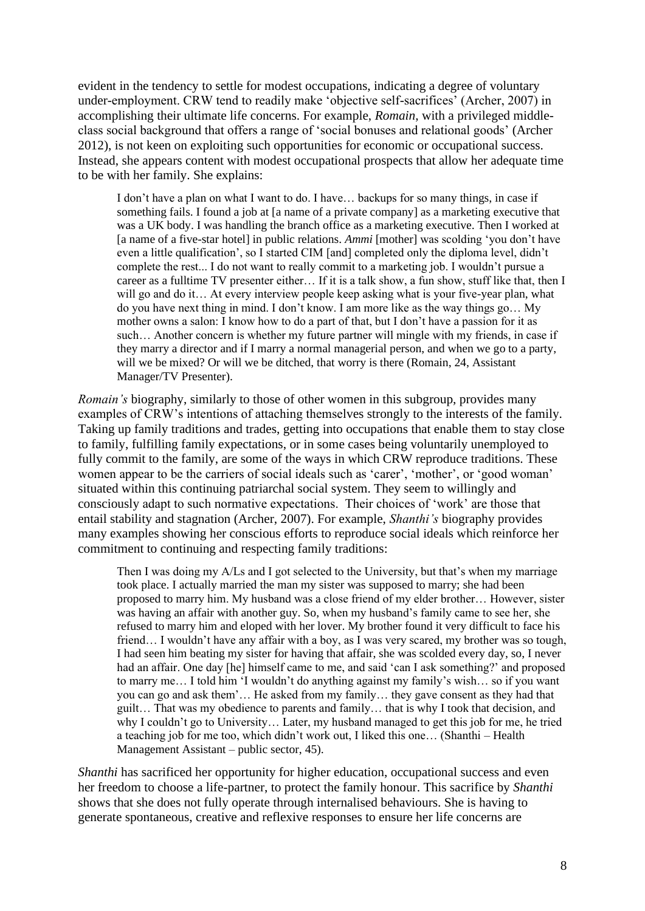evident in the tendency to settle for modest occupations, indicating a degree of voluntary under-employment. CRW tend to readily make 'objective self-sacrifices' (Archer, 2007) in accomplishing their ultimate life concerns. For example, *Romain*, with a privileged middleclass social background that offers a range of 'social bonuses and relational goods' (Archer 2012), is not keen on exploiting such opportunities for economic or occupational success. Instead, she appears content with modest occupational prospects that allow her adequate time to be with her family. She explains:

I don't have a plan on what I want to do. I have… backups for so many things, in case if something fails. I found a job at [a name of a private company] as a marketing executive that was a UK body. I was handling the branch office as a marketing executive. Then I worked at [a name of a five-star hotel] in public relations. *Ammi* [mother] was scolding 'you don't have even a little qualification', so I started CIM [and] completed only the diploma level, didn't complete the rest... I do not want to really commit to a marketing job. I wouldn't pursue a career as a fulltime TV presenter either… If it is a talk show, a fun show, stuff like that, then I will go and do it… At every interview people keep asking what is your five-year plan, what do you have next thing in mind. I don't know. I am more like as the way things go… My mother owns a salon: I know how to do a part of that, but I don't have a passion for it as such… Another concern is whether my future partner will mingle with my friends, in case if they marry a director and if I marry a normal managerial person, and when we go to a party, will we be mixed? Or will we be ditched, that worry is there (Romain, 24, Assistant Manager/TV Presenter).

*Romain's* biography, similarly to those of other women in this subgroup, provides many examples of CRW's intentions of attaching themselves strongly to the interests of the family. Taking up family traditions and trades, getting into occupations that enable them to stay close to family, fulfilling family expectations, or in some cases being voluntarily unemployed to fully commit to the family, are some of the ways in which CRW reproduce traditions. These women appear to be the carriers of social ideals such as 'carer', 'mother', or 'good woman' situated within this continuing patriarchal social system. They seem to willingly and consciously adapt to such normative expectations. Their choices of 'work' are those that entail stability and stagnation (Archer, 2007). For example, *Shanthi's* biography provides many examples showing her conscious efforts to reproduce social ideals which reinforce her commitment to continuing and respecting family traditions:

Then I was doing my A/Ls and I got selected to the University, but that's when my marriage took place. I actually married the man my sister was supposed to marry; she had been proposed to marry him. My husband was a close friend of my elder brother… However, sister was having an affair with another guy. So, when my husband's family came to see her, she refused to marry him and eloped with her lover. My brother found it very difficult to face his friend… I wouldn't have any affair with a boy, as I was very scared, my brother was so tough, I had seen him beating my sister for having that affair, she was scolded every day, so, I never had an affair. One day [he] himself came to me, and said 'can I ask something?' and proposed to marry me… I told him 'I wouldn't do anything against my family's wish… so if you want you can go and ask them'… He asked from my family… they gave consent as they had that guilt… That was my obedience to parents and family… that is why I took that decision, and why I couldn't go to University… Later, my husband managed to get this job for me, he tried a teaching job for me too, which didn't work out, I liked this one… (Shanthi – Health Management Assistant – public sector, 45).

*Shanthi* has sacrificed her opportunity for higher education, occupational success and even her freedom to choose a life-partner, to protect the family honour. This sacrifice by *Shanthi* shows that she does not fully operate through internalised behaviours. She is having to generate spontaneous, creative and reflexive responses to ensure her life concerns are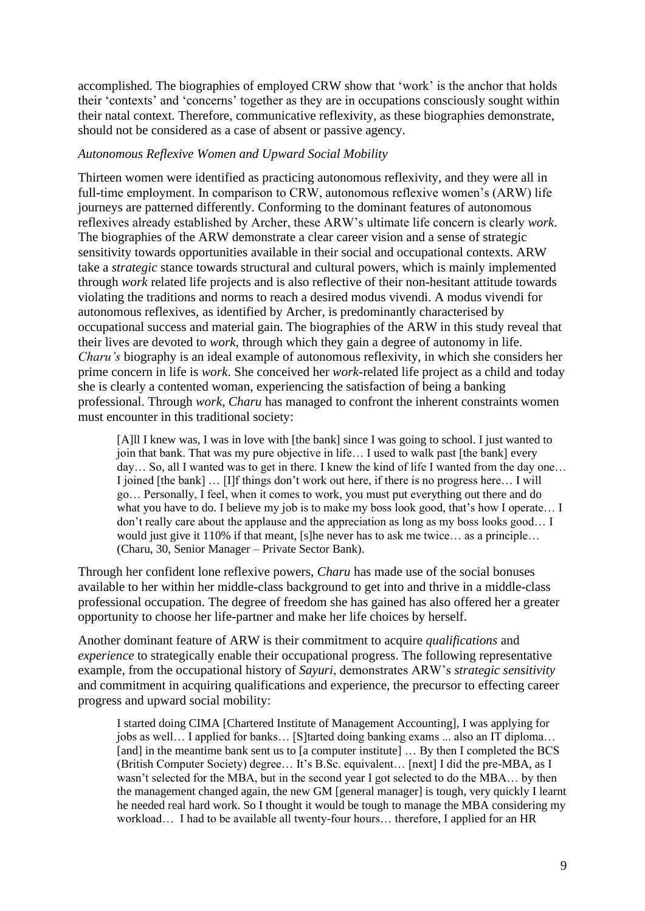accomplished. The biographies of employed CRW show that 'work' is the anchor that holds their 'contexts' and 'concerns' together as they are in occupations consciously sought within their natal context. Therefore, communicative reflexivity, as these biographies demonstrate, should not be considered as a case of absent or passive agency.

#### *Autonomous Reflexive Women and Upward Social Mobility*

Thirteen women were identified as practicing autonomous reflexivity, and they were all in full-time employment. In comparison to CRW, autonomous reflexive women's (ARW) life journeys are patterned differently. Conforming to the dominant features of autonomous reflexives already established by Archer, these ARW's ultimate life concern is clearly *work*. The biographies of the ARW demonstrate a clear career vision and a sense of strategic sensitivity towards opportunities available in their social and occupational contexts. ARW take a *strategic* stance towards structural and cultural powers, which is mainly implemented through *work* related life projects and is also reflective of their non-hesitant attitude towards violating the traditions and norms to reach a desired modus vivendi. A modus vivendi for autonomous reflexives, as identified by Archer, is predominantly characterised by occupational success and material gain. The biographies of the ARW in this study reveal that their lives are devoted to *work*, through which they gain a degree of autonomy in life. *Charu's* biography is an ideal example of autonomous reflexivity, in which she considers her prime concern in life is *work*. She conceived her *work*-related life project as a child and today she is clearly a contented woman, experiencing the satisfaction of being a banking professional. Through *work*, *Charu* has managed to confront the inherent constraints women must encounter in this traditional society:

[A]ll I knew was, I was in love with [the bank] since I was going to school. I just wanted to join that bank. That was my pure objective in life… I used to walk past [the bank] every day... So, all I wanted was to get in there. I knew the kind of life I wanted from the day one... I joined [the bank] … [I]f things don't work out here, if there is no progress here… I will go… Personally, I feel, when it comes to work, you must put everything out there and do what you have to do. I believe my job is to make my boss look good, that's how I operate... I don't really care about the applause and the appreciation as long as my boss looks good… I would just give it 110% if that meant, [s]he never has to ask me twice… as a principle… (Charu, 30, Senior Manager – Private Sector Bank).

Through her confident lone reflexive powers, *Charu* has made use of the social bonuses available to her within her middle-class background to get into and thrive in a middle-class professional occupation. The degree of freedom she has gained has also offered her a greater opportunity to choose her life-partner and make her life choices by herself.

Another dominant feature of ARW is their commitment to acquire *qualifications* and *experience* to strategically enable their occupational progress. The following representative example, from the occupational history of *Sayuri*, demonstrates ARW's *strategic sensitivity* and commitment in acquiring qualifications and experience, the precursor to effecting career progress and upward social mobility:

I started doing CIMA [Chartered Institute of Management Accounting], I was applying for jobs as well… I applied for banks… [S]tarted doing banking exams ... also an IT diploma… [and] in the meantime bank sent us to [a computer institute] ... By then I completed the BCS (British Computer Society) degree… It's B.Sc. equivalent… [next] I did the pre-MBA, as I wasn't selected for the MBA, but in the second year I got selected to do the MBA… by then the management changed again, the new GM [general manager] is tough, very quickly I learnt he needed real hard work. So I thought it would be tough to manage the MBA considering my workload… I had to be available all twenty-four hours… therefore, I applied for an HR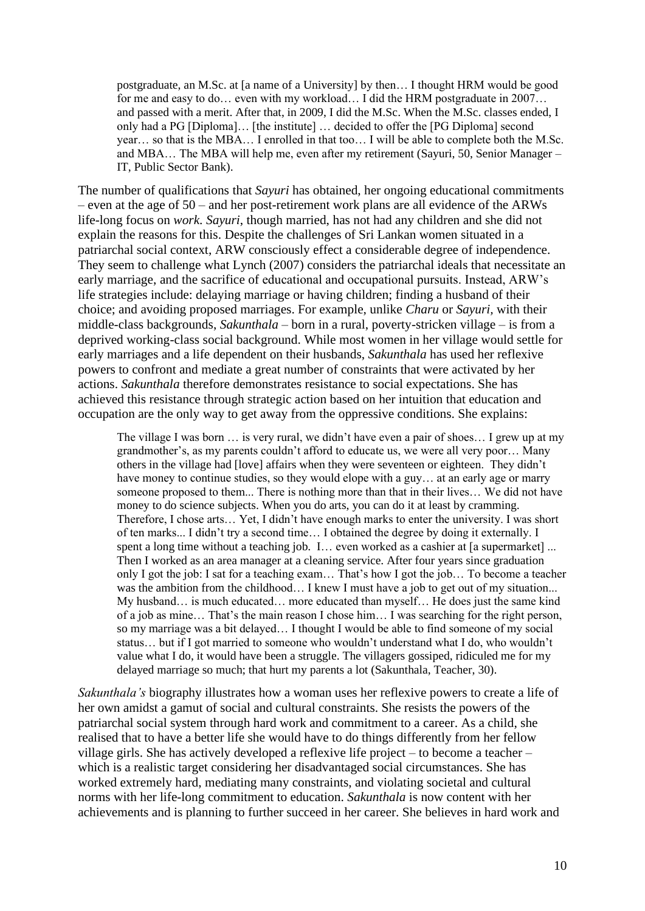postgraduate, an M.Sc. at [a name of a University] by then… I thought HRM would be good for me and easy to do… even with my workload… I did the HRM postgraduate in 2007… and passed with a merit. After that, in 2009, I did the M.Sc. When the M.Sc. classes ended, I only had a PG [Diploma]… [the institute] … decided to offer the [PG Diploma] second year… so that is the MBA… I enrolled in that too… I will be able to complete both the M.Sc. and MBA… The MBA will help me, even after my retirement (Sayuri, 50, Senior Manager – IT, Public Sector Bank).

The number of qualifications that *Sayuri* has obtained, her ongoing educational commitments – even at the age of 50 – and her post-retirement work plans are all evidence of the ARWs life-long focus on *work*. *Sayuri*, though married, has not had any children and she did not explain the reasons for this. Despite the challenges of Sri Lankan women situated in a patriarchal social context, ARW consciously effect a considerable degree of independence. They seem to challenge what Lynch (2007) considers the patriarchal ideals that necessitate an early marriage, and the sacrifice of educational and occupational pursuits. Instead, ARW's life strategies include: delaying marriage or having children; finding a husband of their choice; and avoiding proposed marriages. For example, unlike *Charu* or *Sayuri,* with their middle-class backgrounds, *Sakunthala* – born in a rural, poverty-stricken village – is from a deprived working-class social background. While most women in her village would settle for early marriages and a life dependent on their husbands, *Sakunthala* has used her reflexive powers to confront and mediate a great number of constraints that were activated by her actions. *Sakunthala* therefore demonstrates resistance to social expectations. She has achieved this resistance through strategic action based on her intuition that education and occupation are the only way to get away from the oppressive conditions. She explains:

The village I was born … is very rural, we didn't have even a pair of shoes… I grew up at my grandmother's, as my parents couldn't afford to educate us, we were all very poor… Many others in the village had [love] affairs when they were seventeen or eighteen. They didn't have money to continue studies, so they would elope with a guy... at an early age or marry someone proposed to them... There is nothing more than that in their lives… We did not have money to do science subjects. When you do arts, you can do it at least by cramming. Therefore, I chose arts… Yet, I didn't have enough marks to enter the university. I was short of ten marks... I didn't try a second time… I obtained the degree by doing it externally. I spent a long time without a teaching job. I... even worked as a cashier at [a supermarket] ... Then I worked as an area manager at a cleaning service. After four years since graduation only I got the job: I sat for a teaching exam… That's how I got the job… To become a teacher was the ambition from the childhood... I knew I must have a job to get out of my situation... My husband… is much educated… more educated than myself… He does just the same kind of a job as mine… That's the main reason I chose him… I was searching for the right person, so my marriage was a bit delayed… I thought I would be able to find someone of my social status… but if I got married to someone who wouldn't understand what I do, who wouldn't value what I do, it would have been a struggle. The villagers gossiped, ridiculed me for my delayed marriage so much; that hurt my parents a lot (Sakunthala, Teacher, 30).

*Sakunthala's* biography illustrates how a woman uses her reflexive powers to create a life of her own amidst a gamut of social and cultural constraints. She resists the powers of the patriarchal social system through hard work and commitment to a career. As a child, she realised that to have a better life she would have to do things differently from her fellow village girls. She has actively developed a reflexive life project – to become a teacher – which is a realistic target considering her disadvantaged social circumstances. She has worked extremely hard, mediating many constraints, and violating societal and cultural norms with her life-long commitment to education. *Sakunthala* is now content with her achievements and is planning to further succeed in her career. She believes in hard work and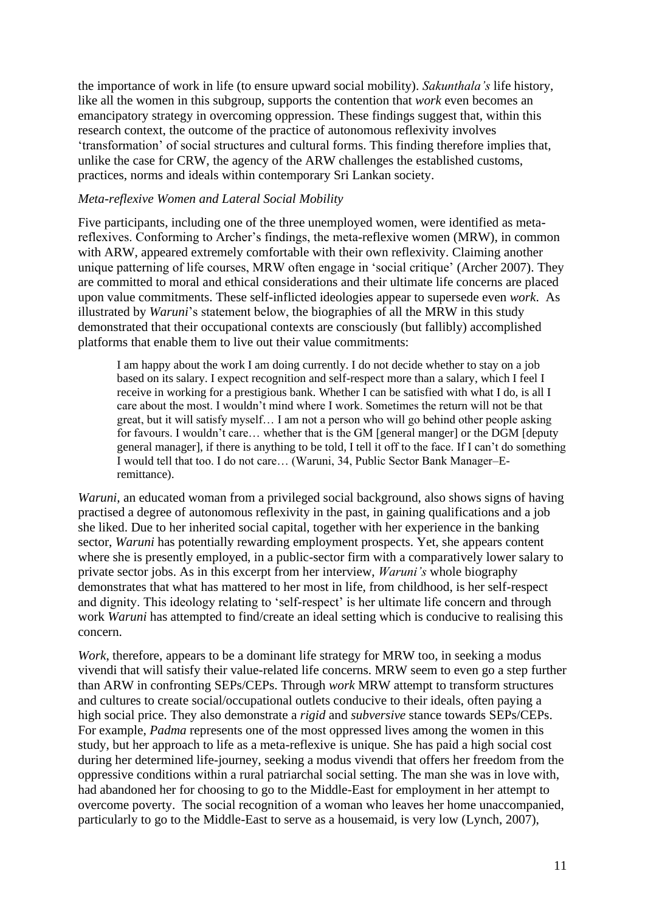the importance of work in life (to ensure upward social mobility). *Sakunthala's* life history, like all the women in this subgroup, supports the contention that *work* even becomes an emancipatory strategy in overcoming oppression. These findings suggest that, within this research context, the outcome of the practice of autonomous reflexivity involves 'transformation' of social structures and cultural forms. This finding therefore implies that, unlike the case for CRW, the agency of the ARW challenges the established customs, practices, norms and ideals within contemporary Sri Lankan society.

#### *Meta-reflexive Women and Lateral Social Mobility*

Five participants, including one of the three unemployed women, were identified as metareflexives. Conforming to Archer's findings, the meta-reflexive women (MRW), in common with ARW, appeared extremely comfortable with their own reflexivity. Claiming another unique patterning of life courses, MRW often engage in 'social critique' (Archer 2007). They are committed to moral and ethical considerations and their ultimate life concerns are placed upon value commitments. These self-inflicted ideologies appear to supersede even *work*. As illustrated by *Waruni*'s statement below, the biographies of all the MRW in this study demonstrated that their occupational contexts are consciously (but fallibly) accomplished platforms that enable them to live out their value commitments:

I am happy about the work I am doing currently. I do not decide whether to stay on a job based on its salary. I expect recognition and self-respect more than a salary, which I feel I receive in working for a prestigious bank. Whether I can be satisfied with what I do, is all I care about the most. I wouldn't mind where I work. Sometimes the return will not be that great, but it will satisfy myself… I am not a person who will go behind other people asking for favours. I wouldn't care... whether that is the GM [general manger] or the DGM [deputy] general manager], if there is anything to be told, I tell it off to the face. If I can't do something I would tell that too. I do not care… (Waruni, 34, Public Sector Bank Manager–Eremittance).

*Waruni*, an educated woman from a privileged social background, also shows signs of having practised a degree of autonomous reflexivity in the past, in gaining qualifications and a job she liked. Due to her inherited social capital, together with her experience in the banking sector, *Waruni* has potentially rewarding employment prospects. Yet, she appears content where she is presently employed, in a public-sector firm with a comparatively lower salary to private sector jobs. As in this excerpt from her interview, *Waruni's* whole biography demonstrates that what has mattered to her most in life, from childhood, is her self-respect and dignity. This ideology relating to 'self-respect' is her ultimate life concern and through work *Waruni* has attempted to find/create an ideal setting which is conducive to realising this concern.

*Work*, therefore, appears to be a dominant life strategy for MRW too, in seeking a modus vivendi that will satisfy their value-related life concerns. MRW seem to even go a step further than ARW in confronting SEPs/CEPs. Through *work* MRW attempt to transform structures and cultures to create social/occupational outlets conducive to their ideals, often paying a high social price. They also demonstrate a *rigid* and *subversive* stance towards SEPs/CEPs. For example, *Padma* represents one of the most oppressed lives among the women in this study, but her approach to life as a meta-reflexive is unique. She has paid a high social cost during her determined life-journey, seeking a modus vivendi that offers her freedom from the oppressive conditions within a rural patriarchal social setting. The man she was in love with, had abandoned her for choosing to go to the Middle-East for employment in her attempt to overcome poverty. The social recognition of a woman who leaves her home unaccompanied, particularly to go to the Middle-East to serve as a housemaid, is very low (Lynch, 2007),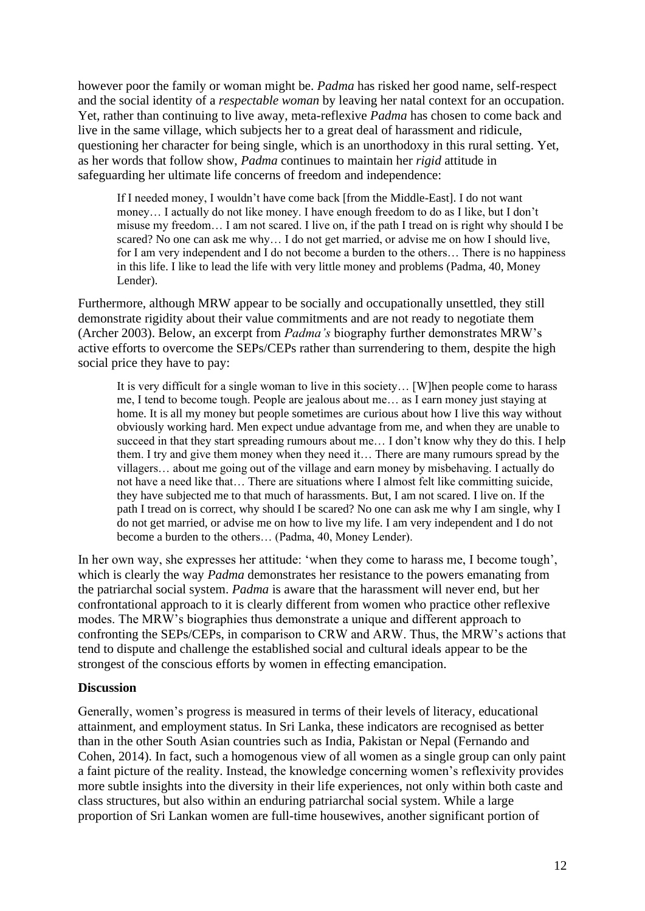however poor the family or woman might be. *Padma* has risked her good name, self-respect and the social identity of a *respectable woman* by leaving her natal context for an occupation. Yet, rather than continuing to live away, meta-reflexive *Padma* has chosen to come back and live in the same village, which subjects her to a great deal of harassment and ridicule, questioning her character for being single, which is an unorthodoxy in this rural setting. Yet, as her words that follow show, *Padma* continues to maintain her *rigid* attitude in safeguarding her ultimate life concerns of freedom and independence:

If I needed money, I wouldn't have come back [from the Middle-East]. I do not want money… I actually do not like money. I have enough freedom to do as I like, but I don't misuse my freedom… I am not scared. I live on, if the path I tread on is right why should I be scared? No one can ask me why… I do not get married, or advise me on how I should live, for I am very independent and I do not become a burden to the others… There is no happiness in this life. I like to lead the life with very little money and problems (Padma, 40, Money Lender).

Furthermore, although MRW appear to be socially and occupationally unsettled, they still demonstrate rigidity about their value commitments and are not ready to negotiate them (Archer 2003). Below, an excerpt from *Padma's* biography further demonstrates MRW's active efforts to overcome the SEPs/CEPs rather than surrendering to them, despite the high social price they have to pay:

It is very difficult for a single woman to live in this society… [W]hen people come to harass me, I tend to become tough. People are jealous about me… as I earn money just staying at home. It is all my money but people sometimes are curious about how I live this way without obviously working hard. Men expect undue advantage from me, and when they are unable to succeed in that they start spreading rumours about me... I don't know why they do this. I help them. I try and give them money when they need it… There are many rumours spread by the villagers… about me going out of the village and earn money by misbehaving. I actually do not have a need like that… There are situations where I almost felt like committing suicide, they have subjected me to that much of harassments. But, I am not scared. I live on. If the path I tread on is correct, why should I be scared? No one can ask me why I am single, why I do not get married, or advise me on how to live my life. I am very independent and I do not become a burden to the others… (Padma, 40, Money Lender).

In her own way, she expresses her attitude: 'when they come to harass me, I become tough', which is clearly the way *Padma* demonstrates her resistance to the powers emanating from the patriarchal social system. *Padma* is aware that the harassment will never end, but her confrontational approach to it is clearly different from women who practice other reflexive modes. The MRW's biographies thus demonstrate a unique and different approach to confronting the SEPs/CEPs, in comparison to CRW and ARW. Thus, the MRW's actions that tend to dispute and challenge the established social and cultural ideals appear to be the strongest of the conscious efforts by women in effecting emancipation.

## **Discussion**

Generally, women's progress is measured in terms of their levels of literacy, educational attainment, and employment status. In Sri Lanka, these indicators are recognised as better than in the other South Asian countries such as India, Pakistan or Nepal (Fernando and Cohen, 2014). In fact, such a homogenous view of all women as a single group can only paint a faint picture of the reality. Instead, the knowledge concerning women's reflexivity provides more subtle insights into the diversity in their life experiences, not only within both caste and class structures, but also within an enduring patriarchal social system. While a large proportion of Sri Lankan women are full-time housewives, another significant portion of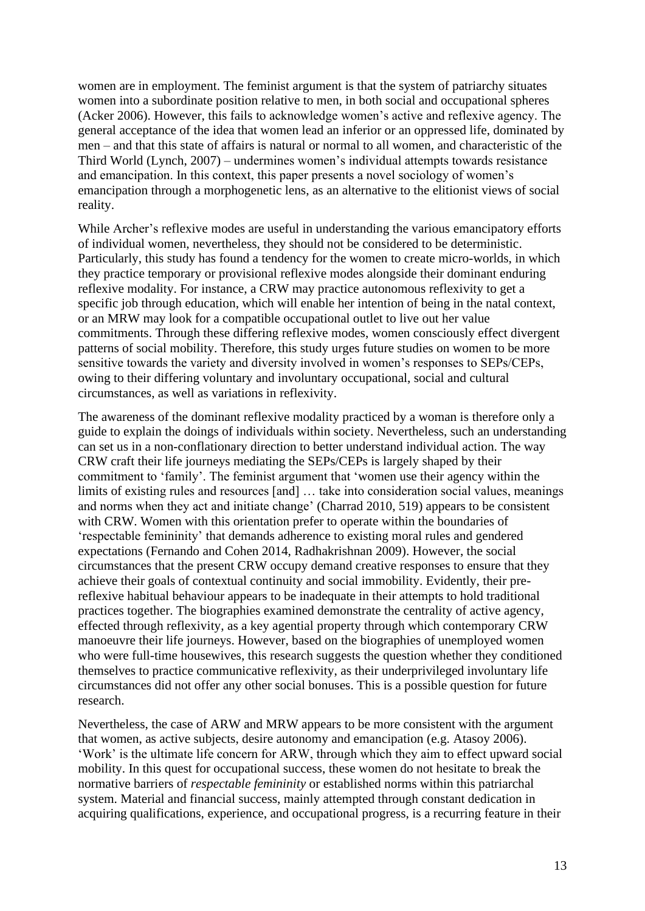women are in employment. The feminist argument is that the system of patriarchy situates women into a subordinate position relative to men, in both social and occupational spheres (Acker 2006). However, this fails to acknowledge women's active and reflexive agency. The general acceptance of the idea that women lead an inferior or an oppressed life, dominated by men – and that this state of affairs is natural or normal to all women, and characteristic of the Third World (Lynch, 2007) – undermines women's individual attempts towards resistance and emancipation. In this context, this paper presents a novel sociology of women's emancipation through a morphogenetic lens, as an alternative to the elitionist views of social reality.

While Archer's reflexive modes are useful in understanding the various emancipatory efforts of individual women, nevertheless, they should not be considered to be deterministic. Particularly, this study has found a tendency for the women to create micro-worlds, in which they practice temporary or provisional reflexive modes alongside their dominant enduring reflexive modality. For instance, a CRW may practice autonomous reflexivity to get a specific job through education, which will enable her intention of being in the natal context, or an MRW may look for a compatible occupational outlet to live out her value commitments. Through these differing reflexive modes, women consciously effect divergent patterns of social mobility. Therefore, this study urges future studies on women to be more sensitive towards the variety and diversity involved in women's responses to SEPs/CEPs, owing to their differing voluntary and involuntary occupational, social and cultural circumstances, as well as variations in reflexivity.

The awareness of the dominant reflexive modality practiced by a woman is therefore only a guide to explain the doings of individuals within society. Nevertheless, such an understanding can set us in a non-conflationary direction to better understand individual action. The way CRW craft their life journeys mediating the SEPs/CEPs is largely shaped by their commitment to 'family'. The feminist argument that 'women use their agency within the limits of existing rules and resources [and] ... take into consideration social values, meanings and norms when they act and initiate change' (Charrad 2010, 519) appears to be consistent with CRW. Women with this orientation prefer to operate within the boundaries of 'respectable femininity' that demands adherence to existing moral rules and gendered expectations (Fernando and Cohen 2014, Radhakrishnan 2009). However, the social circumstances that the present CRW occupy demand creative responses to ensure that they achieve their goals of contextual continuity and social immobility. Evidently, their prereflexive habitual behaviour appears to be inadequate in their attempts to hold traditional practices together. The biographies examined demonstrate the centrality of active agency, effected through reflexivity, as a key agential property through which contemporary CRW manoeuvre their life journeys. However, based on the biographies of unemployed women who were full-time housewives, this research suggests the question whether they conditioned themselves to practice communicative reflexivity, as their underprivileged involuntary life circumstances did not offer any other social bonuses. This is a possible question for future research.

Nevertheless, the case of ARW and MRW appears to be more consistent with the argument that women, as active subjects, desire autonomy and emancipation (e.g. Atasoy 2006). 'Work' is the ultimate life concern for ARW, through which they aim to effect upward social mobility. In this quest for occupational success, these women do not hesitate to break the normative barriers of *respectable femininity* or established norms within this patriarchal system. Material and financial success, mainly attempted through constant dedication in acquiring qualifications, experience, and occupational progress, is a recurring feature in their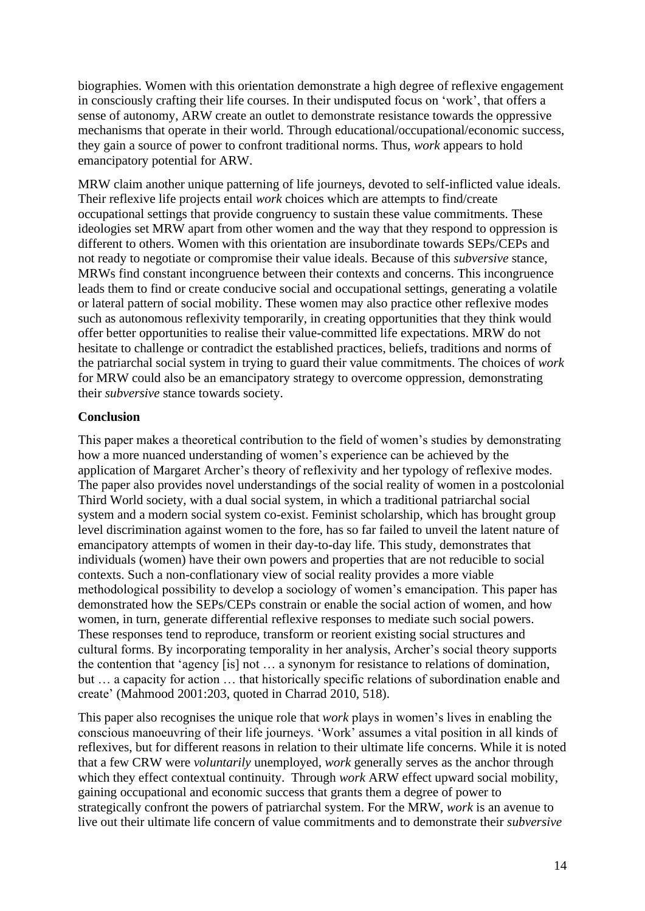biographies. Women with this orientation demonstrate a high degree of reflexive engagement in consciously crafting their life courses. In their undisputed focus on 'work', that offers a sense of autonomy, ARW create an outlet to demonstrate resistance towards the oppressive mechanisms that operate in their world. Through educational/occupational/economic success, they gain a source of power to confront traditional norms. Thus, *work* appears to hold emancipatory potential for ARW.

MRW claim another unique patterning of life journeys, devoted to self-inflicted value ideals. Their reflexive life projects entail *work* choices which are attempts to find/create occupational settings that provide congruency to sustain these value commitments. These ideologies set MRW apart from other women and the way that they respond to oppression is different to others. Women with this orientation are insubordinate towards SEPs/CEPs and not ready to negotiate or compromise their value ideals. Because of this *subversive* stance, MRWs find constant incongruence between their contexts and concerns. This incongruence leads them to find or create conducive social and occupational settings, generating a volatile or lateral pattern of social mobility. These women may also practice other reflexive modes such as autonomous reflexivity temporarily, in creating opportunities that they think would offer better opportunities to realise their value-committed life expectations. MRW do not hesitate to challenge or contradict the established practices, beliefs, traditions and norms of the patriarchal social system in trying to guard their value commitments. The choices of *work* for MRW could also be an emancipatory strategy to overcome oppression, demonstrating their *subversive* stance towards society.

# **Conclusion**

This paper makes a theoretical contribution to the field of women's studies by demonstrating how a more nuanced understanding of women's experience can be achieved by the application of Margaret Archer's theory of reflexivity and her typology of reflexive modes. The paper also provides novel understandings of the social reality of women in a postcolonial Third World society, with a dual social system, in which a traditional patriarchal social system and a modern social system co-exist. Feminist scholarship, which has brought group level discrimination against women to the fore, has so far failed to unveil the latent nature of emancipatory attempts of women in their day-to-day life. This study, demonstrates that individuals (women) have their own powers and properties that are not reducible to social contexts. Such a non-conflationary view of social reality provides a more viable methodological possibility to develop a sociology of women's emancipation. This paper has demonstrated how the SEPs/CEPs constrain or enable the social action of women, and how women, in turn, generate differential reflexive responses to mediate such social powers. These responses tend to reproduce, transform or reorient existing social structures and cultural forms. By incorporating temporality in her analysis, Archer's social theory supports the contention that 'agency [is] not … a synonym for resistance to relations of domination, but … a capacity for action … that historically specific relations of subordination enable and create' (Mahmood 2001:203, quoted in Charrad 2010, 518).

This paper also recognises the unique role that *work* plays in women's lives in enabling the conscious manoeuvring of their life journeys. 'Work' assumes a vital position in all kinds of reflexives, but for different reasons in relation to their ultimate life concerns. While it is noted that a few CRW were *voluntarily* unemployed, *work* generally serves as the anchor through which they effect contextual continuity. Through *work* ARW effect upward social mobility, gaining occupational and economic success that grants them a degree of power to strategically confront the powers of patriarchal system. For the MRW, *work* is an avenue to live out their ultimate life concern of value commitments and to demonstrate their *subversive*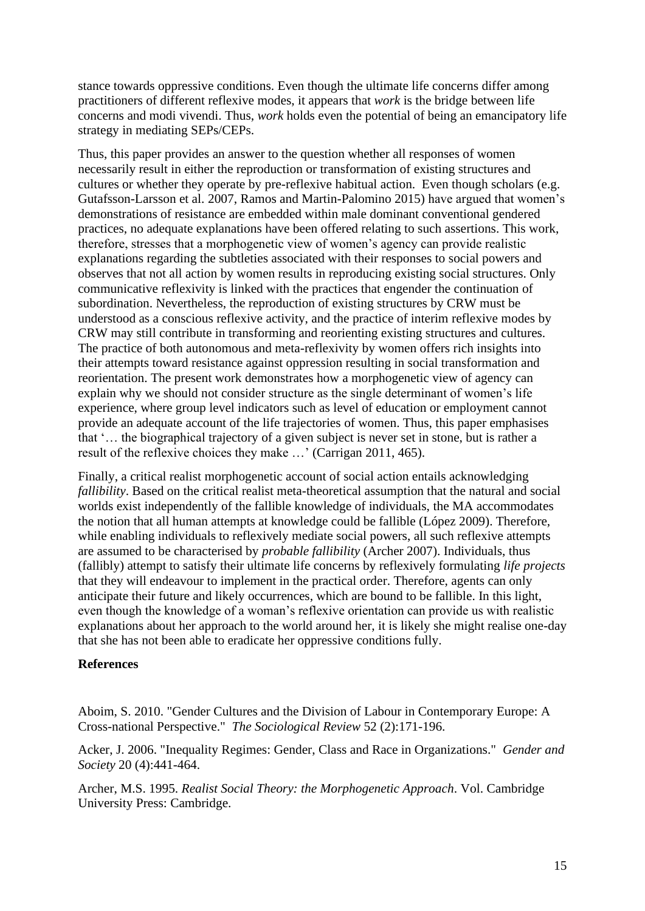stance towards oppressive conditions. Even though the ultimate life concerns differ among practitioners of different reflexive modes, it appears that *work* is the bridge between life concerns and modi vivendi. Thus, *work* holds even the potential of being an emancipatory life strategy in mediating SEPs/CEPs.

Thus, this paper provides an answer to the question whether all responses of women necessarily result in either the reproduction or transformation of existing structures and cultures or whether they operate by pre-reflexive habitual action. Even though scholars (e.g. Gutafsson-Larsson et al. 2007, Ramos and Martin-Palomino 2015) have argued that women's demonstrations of resistance are embedded within male dominant conventional gendered practices, no adequate explanations have been offered relating to such assertions. This work, therefore, stresses that a morphogenetic view of women's agency can provide realistic explanations regarding the subtleties associated with their responses to social powers and observes that not all action by women results in reproducing existing social structures. Only communicative reflexivity is linked with the practices that engender the continuation of subordination. Nevertheless, the reproduction of existing structures by CRW must be understood as a conscious reflexive activity, and the practice of interim reflexive modes by CRW may still contribute in transforming and reorienting existing structures and cultures. The practice of both autonomous and meta-reflexivity by women offers rich insights into their attempts toward resistance against oppression resulting in social transformation and reorientation. The present work demonstrates how a morphogenetic view of agency can explain why we should not consider structure as the single determinant of women's life experience, where group level indicators such as level of education or employment cannot provide an adequate account of the life trajectories of women. Thus, this paper emphasises that '… the biographical trajectory of a given subject is never set in stone, but is rather a result of the reflexive choices they make …' (Carrigan 2011, 465).

Finally, a critical realist morphogenetic account of social action entails acknowledging *fallibility*. Based on the critical realist meta-theoretical assumption that the natural and social worlds exist independently of the fallible knowledge of individuals, the MA accommodates the notion that all human attempts at knowledge could be fallible (López 2009). Therefore, while enabling individuals to reflexively mediate social powers, all such reflexive attempts are assumed to be characterised by *probable fallibility* (Archer 2007). Individuals, thus (fallibly) attempt to satisfy their ultimate life concerns by reflexively formulating *life projects* that they will endeavour to implement in the practical order. Therefore, agents can only anticipate their future and likely occurrences, which are bound to be fallible. In this light, even though the knowledge of a woman's reflexive orientation can provide us with realistic explanations about her approach to the world around her, it is likely she might realise one-day that she has not been able to eradicate her oppressive conditions fully.

## **References**

Aboim, S. 2010. "Gender Cultures and the Division of Labour in Contemporary Europe: A Cross-national Perspective." *The Sociological Review* 52 (2):171-196.

Acker, J. 2006. "Inequality Regimes: Gender, Class and Race in Organizations." *Gender and Society* 20 (4):441-464.

Archer, M.S. 1995. *Realist Social Theory: the Morphogenetic Approach*. Vol. Cambridge University Press: Cambridge.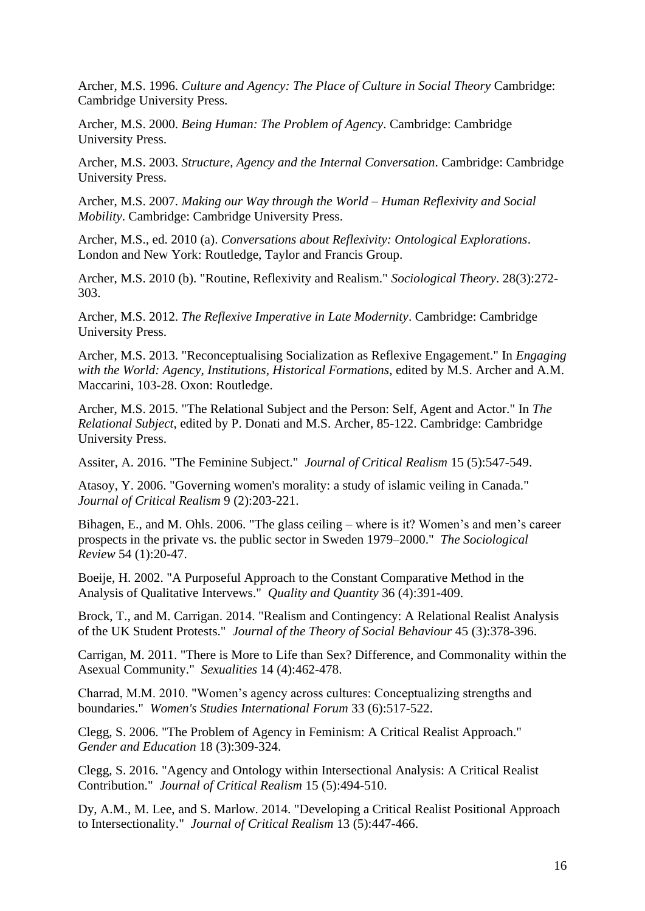Archer, M.S. 1996. *Culture and Agency: The Place of Culture in Social Theory* Cambridge: Cambridge University Press.

Archer, M.S. 2000. *Being Human: The Problem of Agency*. Cambridge: Cambridge University Press.

Archer, M.S. 2003. *Structure, Agency and the Internal Conversation*. Cambridge: Cambridge University Press.

Archer, M.S. 2007. *Making our Way through the World – Human Reflexivity and Social Mobility*. Cambridge: Cambridge University Press.

Archer, M.S., ed. 2010 (a). *Conversations about Reflexivity: Ontological Explorations*. London and New York: Routledge, Taylor and Francis Group.

Archer, M.S. 2010 (b). "Routine, Reflexivity and Realism." *Sociological Theory*. 28(3):272- 303.

Archer, M.S. 2012. *The Reflexive Imperative in Late Modernity*. Cambridge: Cambridge University Press.

Archer, M.S. 2013. "Reconceptualising Socialization as Reflexive Engagement." In *Engaging with the World: Agency, Institutions, Historical Formations*, edited by M.S. Archer and A.M. Maccarini, 103-28. Oxon: Routledge.

Archer, M.S. 2015. "The Relational Subject and the Person: Self, Agent and Actor." In *The Relational Subject*, edited by P. Donati and M.S. Archer, 85-122. Cambridge: Cambridge University Press.

Assiter, A. 2016. "The Feminine Subject." *Journal of Critical Realism* 15 (5):547-549.

Atasoy, Y. 2006. "Governing women's morality: a study of islamic veiling in Canada." *Journal of Critical Realism* 9 (2):203-221.

Bihagen, E., and M. Ohls. 2006. "The glass ceiling – where is it? Women's and men's career prospects in the private vs. the public sector in Sweden 1979–2000." *The Sociological Review* 54 (1):20-47.

Boeije, H. 2002. "A Purposeful Approach to the Constant Comparative Method in the Analysis of Qualitative Intervews." *Quality and Quantity* 36 (4):391-409.

Brock, T., and M. Carrigan. 2014. "Realism and Contingency: A Relational Realist Analysis of the UK Student Protests." *Journal of the Theory of Social Behaviour* 45 (3):378-396.

Carrigan, M. 2011. "There is More to Life than Sex? Difference, and Commonality within the Asexual Community." *Sexualities* 14 (4):462-478.

Charrad, M.M. 2010. "Women's agency across cultures: Conceptualizing strengths and boundaries." *Women's Studies International Forum* 33 (6):517-522.

Clegg, S. 2006. "The Problem of Agency in Feminism: A Critical Realist Approach." *Gender and Education* 18 (3):309-324.

Clegg, S. 2016. "Agency and Ontology within Intersectional Analysis: A Critical Realist Contribution." *Journal of Critical Realism* 15 (5):494-510.

Dy, A.M., M. Lee, and S. Marlow. 2014. "Developing a Critical Realist Positional Approach to Intersectionality." *Journal of Critical Realism* 13 (5):447-466.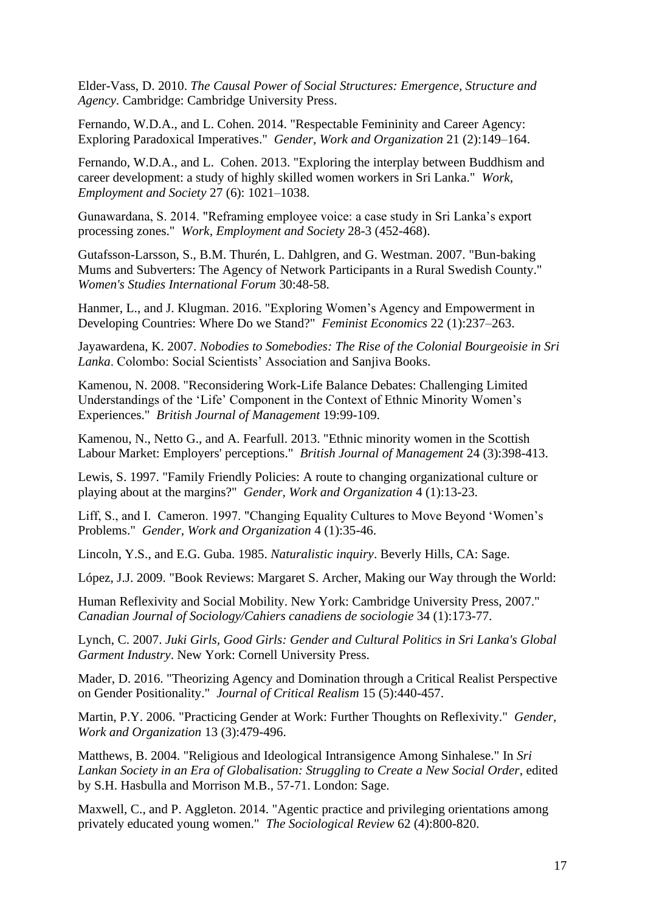Elder-Vass, D. 2010. *The Causal Power of Social Structures: Emergence, Structure and Agency*. Cambridge: Cambridge University Press.

Fernando, W.D.A., and L. Cohen. 2014. "Respectable Femininity and Career Agency: Exploring Paradoxical Imperatives." *Gender, Work and Organization* 21 (2):149–164.

Fernando, W.D.A., and L. Cohen. 2013. "Exploring the interplay between Buddhism and career development: a study of highly skilled women workers in Sri Lanka." *Work, Employment and Society* 27 (6): 1021–1038.

Gunawardana, S. 2014. "Reframing employee voice: a case study in Sri Lanka's export processing zones." *Work, Employment and Society* 28-3 (452-468).

Gutafsson-Larsson, S., B.M. Thurén, L. Dahlgren, and G. Westman. 2007. "Bun-baking Mums and Subverters: The Agency of Network Participants in a Rural Swedish County." *Women's Studies International Forum* 30:48-58.

Hanmer, L., and J. Klugman. 2016. "Exploring Women's Agency and Empowerment in Developing Countries: Where Do we Stand?" *Feminist Economics* 22 (1):237–263.

Jayawardena, K. 2007. *Nobodies to Somebodies: The Rise of the Colonial Bourgeoisie in Sri Lanka*. Colombo: Social Scientists' Association and Sanjiva Books.

Kamenou, N. 2008. "Reconsidering Work-Life Balance Debates: Challenging Limited Understandings of the 'Life' Component in the Context of Ethnic Minority Women's Experiences." *British Journal of Management* 19:99-109.

Kamenou, N., Netto G., and A. Fearfull. 2013. "Ethnic minority women in the Scottish Labour Market: Employers' perceptions." *British Journal of Management* 24 (3):398-413.

Lewis, S. 1997. "Family Friendly Policies: A route to changing organizational culture or playing about at the margins?" *Gender, Work and Organization* 4 (1):13-23.

Liff, S., and I. Cameron. 1997. "Changing Equality Cultures to Move Beyond 'Women's Problems." *Gender, Work and Organization* 4 (1):35-46.

Lincoln, Y.S., and E.G. Guba. 1985. *Naturalistic inquiry*. Beverly Hills, CA: Sage.

López, J.J. 2009. "Book Reviews: Margaret S. Archer, Making our Way through the World:

Human Reflexivity and Social Mobility. New York: Cambridge University Press, 2007." *Canadian Journal of Sociology/Cahiers canadiens de sociologie* 34 (1):173-77.

Lynch, C. 2007. *Juki Girls, Good Girls: Gender and Cultural Politics in Sri Lanka's Global Garment Industry*. New York: Cornell University Press.

Mader, D. 2016. "Theorizing Agency and Domination through a Critical Realist Perspective on Gender Positionality." *Journal of Critical Realism* 15 (5):440-457.

Martin, P.Y. 2006. "Practicing Gender at Work: Further Thoughts on Reflexivity." *Gender, Work and Organization* 13 (3):479-496.

Matthews, B. 2004. "Religious and Ideological Intransigence Among Sinhalese." In *Sri Lankan Society in an Era of Globalisation: Struggling to Create a New Social Order*, edited by S.H. Hasbulla and Morrison M.B., 57-71. London: Sage.

Maxwell, C., and P. Aggleton. 2014. "Agentic practice and privileging orientations among privately educated young women." *The Sociological Review* 62 (4):800-820.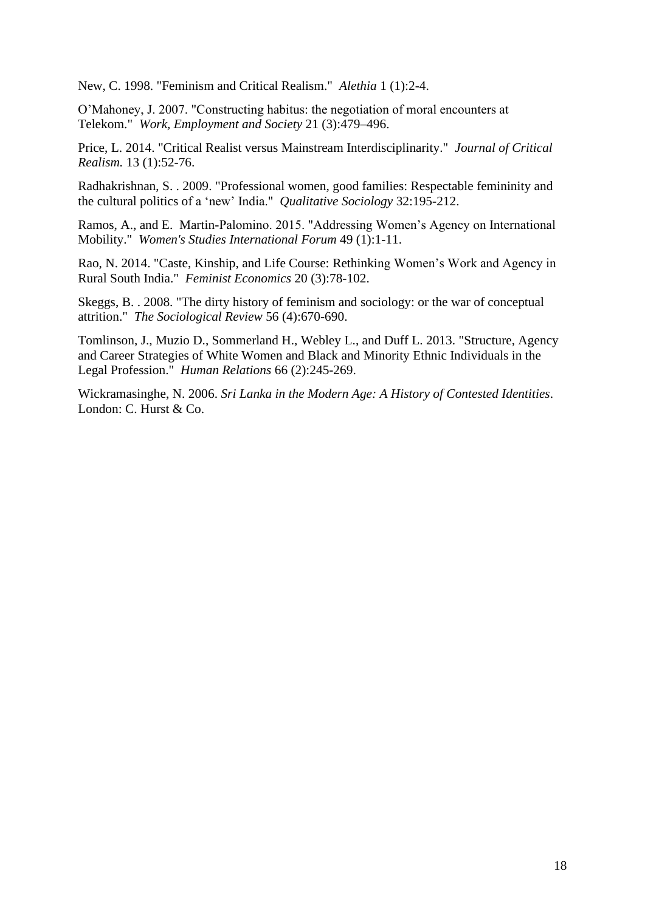New, C. 1998. "Feminism and Critical Realism." *Alethia* 1 (1):2-4.

O'Mahoney, J. 2007. "Constructing habitus: the negotiation of moral encounters at Telekom." *Work, Employment and Society* 21 (3):479–496.

Price, L. 2014. "Critical Realist versus Mainstream Interdisciplinarity." *Journal of Critical Realism.* 13 (1):52-76.

Radhakrishnan, S. . 2009. "Professional women, good families: Respectable femininity and the cultural politics of a 'new' India." *Qualitative Sociology* 32:195-212.

Ramos, A., and E. Martin-Palomino. 2015. "Addressing Women's Agency on International Mobility." *Women's Studies International Forum* 49 (1):1-11.

Rao, N. 2014. "Caste, Kinship, and Life Course: Rethinking Women's Work and Agency in Rural South India." *Feminist Economics* 20 (3):78-102.

Skeggs, B. . 2008. "The dirty history of feminism and sociology: or the war of conceptual attrition." *The Sociological Review* 56 (4):670-690.

Tomlinson, J., Muzio D., Sommerland H., Webley L., and Duff L. 2013. "Structure, Agency and Career Strategies of White Women and Black and Minority Ethnic Individuals in the Legal Profession." *Human Relations* 66 (2):245-269.

Wickramasinghe, N. 2006. *Sri Lanka in the Modern Age: A History of Contested Identities*. London: C. Hurst & Co.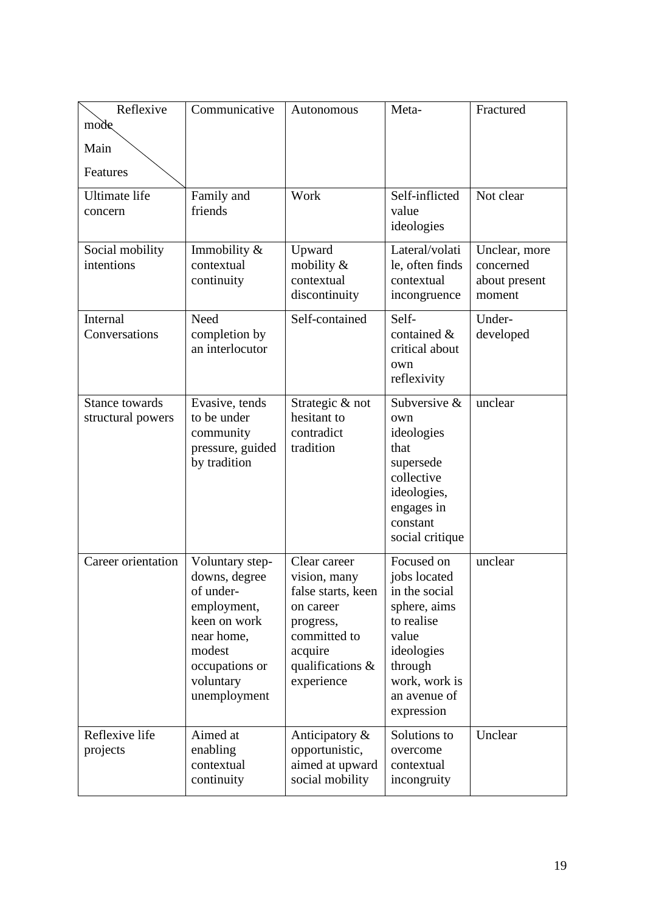| Reflexive<br>mode<br>Main<br>Features      | Communicative                                                                                                                                       | Autonomous                                                                                                                                   | Meta-                                                                                                                                                      | Fractured                                             |
|--------------------------------------------|-----------------------------------------------------------------------------------------------------------------------------------------------------|----------------------------------------------------------------------------------------------------------------------------------------------|------------------------------------------------------------------------------------------------------------------------------------------------------------|-------------------------------------------------------|
| <b>Ultimate</b> life<br>concern            | Family and<br>friends                                                                                                                               | Work                                                                                                                                         | Self-inflicted<br>value<br>ideologies                                                                                                                      | Not clear                                             |
| Social mobility<br>intentions              | Immobility $\&$<br>contextual<br>continuity                                                                                                         | Upward<br>mobility $\&$<br>contextual<br>discontinuity                                                                                       | Lateral/volati<br>le, often finds<br>contextual<br>incongruence                                                                                            | Unclear, more<br>concerned<br>about present<br>moment |
| Internal<br>Conversations                  | Need<br>completion by<br>an interlocutor                                                                                                            | Self-contained                                                                                                                               | Self-<br>contained &<br>critical about<br>own<br>reflexivity                                                                                               | Under-<br>developed                                   |
| <b>Stance towards</b><br>structural powers | Evasive, tends<br>to be under<br>community<br>pressure, guided<br>by tradition                                                                      | Strategic & not<br>hesitant to<br>contradict<br>tradition                                                                                    | Subversive &<br>own<br>ideologies<br>that<br>supersede<br>collective<br>ideologies,<br>engages in<br>constant<br>social critique                           | unclear                                               |
| Career orientation                         | Voluntary step-<br>downs, degree<br>of under-<br>employment,<br>keen on work<br>near home,<br>modest<br>occupations or<br>voluntary<br>unemployment | Clear career<br>vision, many<br>false starts, keen<br>on career<br>progress,<br>committed to<br>acquire<br>qualifications $\&$<br>experience | Focused on<br>jobs located<br>in the social<br>sphere, aims<br>to realise<br>value<br>ideologies<br>through<br>work, work is<br>an avenue of<br>expression | unclear                                               |
| Reflexive life<br>projects                 | Aimed at<br>enabling<br>contextual<br>continuity                                                                                                    | Anticipatory &<br>opportunistic,<br>aimed at upward<br>social mobility                                                                       | Solutions to<br>overcome<br>contextual<br>incongruity                                                                                                      | Unclear                                               |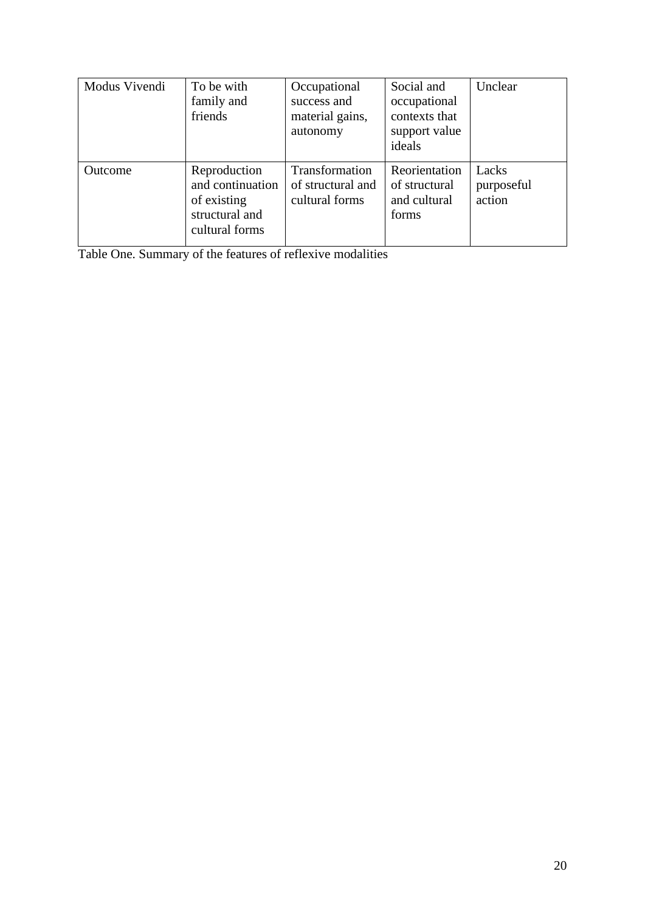| Modus Vivendi | To be with<br>family and<br>friends                                                 | Occupational<br>success and<br>material gains,<br>autonomy   | Social and<br>occupational<br>contexts that<br>support value<br>ideals | Unclear                       |
|---------------|-------------------------------------------------------------------------------------|--------------------------------------------------------------|------------------------------------------------------------------------|-------------------------------|
| Outcome       | Reproduction<br>and continuation<br>of existing<br>structural and<br>cultural forms | <b>Transformation</b><br>of structural and<br>cultural forms | Reorientation<br>of structural<br>and cultural<br>forms                | Lacks<br>purposeful<br>action |

Table One. Summary of the features of reflexive modalities